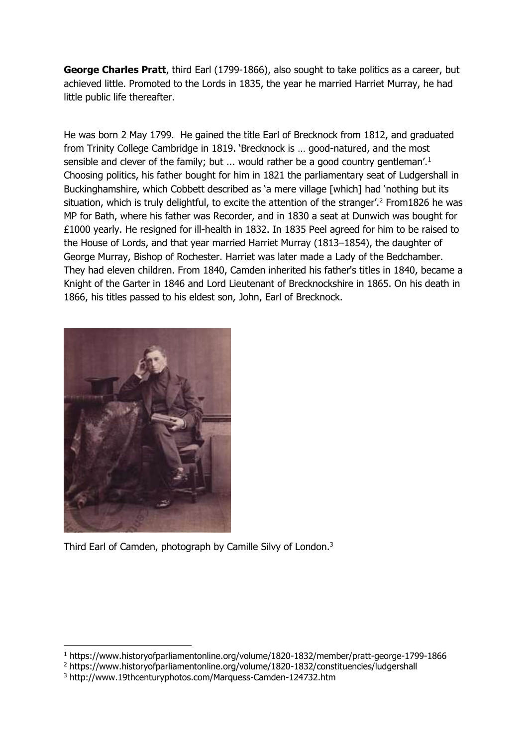**George Charles Pratt**, third Earl (1799-1866), also sought to take politics as a career, but achieved little. Promoted to the Lords in 1835, the year he married Harriet Murray, he had little public life thereafter.

He was born 2 May 1799. He gained the title Earl of Brecknock from 1812, and graduated from Trinity College Cambridge in 1819. 'Brecknock is … good-natured, and the most sensible and clever of the family; but  $\ldots$  would rather be a good country gentleman'.<sup>1</sup> Choosing politics, his father bought for him in 1821 the parliamentary seat of Ludgershall in Buckinghamshire, which Cobbett described as 'a mere village [which] had 'nothing but its situation, which is truly delightful, to excite the attention of the stranger'.<sup>2</sup> From1826 he was MP for Bath, where his father was Recorder, and in 1830 a seat at Dunwich was bought for £1000 yearly. He resigned for ill-health in 1832. In 1835 Peel agreed for him to be raised to the House of Lords, and that year married Harriet Murray (1813–1854), the daughter of George Murray, Bishop of Rochester. Harriet was later made a Lady of the Bedchamber. They had eleven children. From 1840, Camden inherited his father's titles in 1840, became a Knight of the Garter in 1846 and Lord Lieutenant of Brecknockshire in 1865. On his death in 1866, his titles passed to his eldest son, John, Earl of Brecknock.



-

Third Earl of Camden, photograph by Camille Silvy of London.<sup>3</sup>

<sup>1</sup> https://www.historyofparliamentonline.org/volume/1820-1832/member/pratt-george-1799-1866

<sup>2</sup> https://www.historyofparliamentonline.org/volume/1820-1832/constituencies/ludgershall

<sup>3</sup> http://www.19thcenturyphotos.com/Marquess-Camden-124732.htm